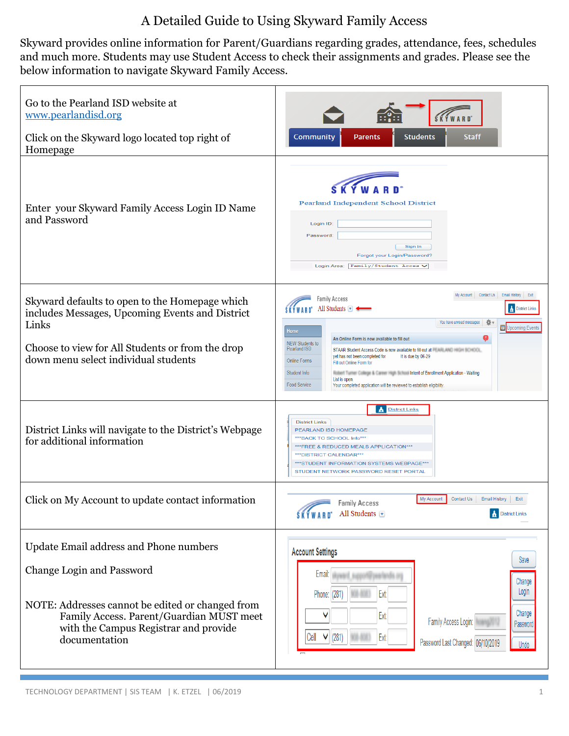# A Detailed Guide to Using Skyward Family Access

Skyward provides online information for Parent/Guardians regarding grades, attendance, fees, schedules and much more. Students may use Student Access to check their assignments and grades. Please see the below information to navigate Skyward Family Access.

| Go to the Pearland ISD website at<br>www.pearlandisd.org<br>Click on the Skyward logo located top right of<br>Homepage                                                                                                               | Community<br>Staff<br><b>Parents</b><br><b>Students</b>                                                                                                                                                                                                                                                                                                                                                                                                                                                                                                                                                                                                                                  |
|--------------------------------------------------------------------------------------------------------------------------------------------------------------------------------------------------------------------------------------|------------------------------------------------------------------------------------------------------------------------------------------------------------------------------------------------------------------------------------------------------------------------------------------------------------------------------------------------------------------------------------------------------------------------------------------------------------------------------------------------------------------------------------------------------------------------------------------------------------------------------------------------------------------------------------------|
| Enter your Skyward Family Access Login ID Name<br>and Password                                                                                                                                                                       | Pearland Independent School District<br>Login ID<br>Password:<br>Sign In<br>Forgot your Login/Password?<br>Login Area: Family/Student Acces V                                                                                                                                                                                                                                                                                                                                                                                                                                                                                                                                            |
| Skyward defaults to open to the Homepage which<br>includes Messages, Upcoming Events and District<br>Links<br>Choose to view for All Students or from the drop<br>down menu select individual students                               | My Account Contact Us Email History<br>Exit<br>Family Access<br>All Students $\Box$<br><b>District Links</b><br>×<br>You have unread messages<br>Upcoming Events<br>Home<br>An Online Form is now available to fill out<br><b>NEW Students to</b><br><b>Pearland ISD</b><br>STAAR Student Access Code is now available to fill out at the AND HOLD BORD OF<br>yet has not been completed for<br>It is due by 06-29<br>Online Forms<br>Fill out Online Form for<br><b>Student Info</b><br>Richert Turner College & Career High School Intent of Enrollment Application - Waiting<br>List is open.<br>Food Service<br>Your completed application will be reviewed to establish eligibility |
| District Links will navigate to the District's Webpage<br>for additional information                                                                                                                                                 | <b>District Links</b><br><b>District Links</b><br>PEARLAND ISD HOMEPAGE<br>*** BACK TO SCHOOL Info***<br>*** FREE & REDUCED MEALS APPLICATION***<br>*** DISTRICT CALENDAR***<br>***STUDENT INFORMATION SYSTEMS WEBPAGE***<br>STUDENT NETWORK PASSWORD RESET PORTAL                                                                                                                                                                                                                                                                                                                                                                                                                       |
| Click on My Account to update contact information                                                                                                                                                                                    | My Account<br>Contact Us<br>Exit<br><b>Family Access</b><br><b>A</b> District Links<br>All Students $\blacktriangledown$<br><b>SKÝWARD</b>                                                                                                                                                                                                                                                                                                                                                                                                                                                                                                                                               |
| Update Email address and Phone numbers<br><b>Change Login and Password</b><br>NOTE: Addresses cannot be edited or changed from<br>Family Access. Parent/Guardian MUST meet<br>with the Campus Registrar and provide<br>documentation | <b>Account Settings</b><br>Save<br>Email:<br>Change<br>Login<br>Ext:<br>Phone: (281)<br>Change<br>Ext:<br>Family Access Login:<br>Password<br>$\vee$ (281)<br>Cell<br>Ext:<br>Password Last Changed: 06/10/2019<br>Undo                                                                                                                                                                                                                                                                                                                                                                                                                                                                  |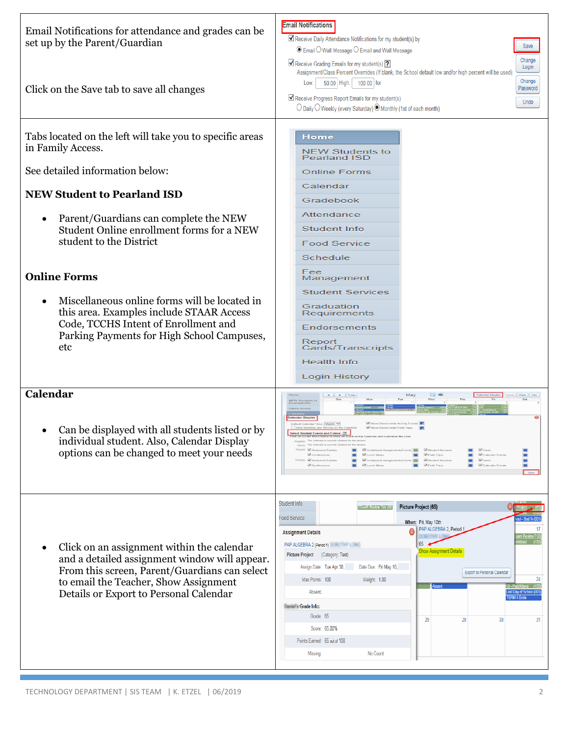| Email Notifications for attendance and grades can be<br>set up by the Parent/Guardian<br>Click on the Save tab to save all changes         | <b>Email Notifications</b><br>Receive Daily Attendance Notifications for my student(s) by<br>Save<br>◉ Email O Wall Message O Email and Wall Message<br>Change<br>Receive Grading Emails for my student(s) ?<br>Login<br>Assignment/Class Percent Overrides (If blank, the School default low and/or high percent will be used):<br>Change<br>50.00 High: 100.00 for<br>Low:<br>Password<br>Receive Progress Report Emails for my student(s)<br>Undo<br>○ Daily ○ Weekly (every Saturday) ● Monthly (1st of each month) |
|--------------------------------------------------------------------------------------------------------------------------------------------|-------------------------------------------------------------------------------------------------------------------------------------------------------------------------------------------------------------------------------------------------------------------------------------------------------------------------------------------------------------------------------------------------------------------------------------------------------------------------------------------------------------------------|
| Tabs located on the left will take you to specific areas<br>in Family Access.                                                              | Home<br><b>NEW Students to</b><br><b>Pearland ISD</b>                                                                                                                                                                                                                                                                                                                                                                                                                                                                   |
| See detailed information below:                                                                                                            | <b>Online Forms</b>                                                                                                                                                                                                                                                                                                                                                                                                                                                                                                     |
| <b>NEW Student to Pearland ISD</b>                                                                                                         | Calendar<br>Gradebook                                                                                                                                                                                                                                                                                                                                                                                                                                                                                                   |
|                                                                                                                                            | Attendance                                                                                                                                                                                                                                                                                                                                                                                                                                                                                                              |
| Parent/Guardians can complete the NEW<br>$\bullet$<br>Student Online enrollment forms for a NEW                                            | <b>Student Info</b>                                                                                                                                                                                                                                                                                                                                                                                                                                                                                                     |
| student to the District                                                                                                                    | <b>Food Service</b>                                                                                                                                                                                                                                                                                                                                                                                                                                                                                                     |
|                                                                                                                                            | Schedule                                                                                                                                                                                                                                                                                                                                                                                                                                                                                                                |
| <b>Online Forms</b>                                                                                                                        | Fee<br>Management                                                                                                                                                                                                                                                                                                                                                                                                                                                                                                       |
|                                                                                                                                            | <b>Student Services</b>                                                                                                                                                                                                                                                                                                                                                                                                                                                                                                 |
| Miscellaneous online forms will be located in<br>this area. Examples include STAAR Access                                                  | Graduation<br>Requirements                                                                                                                                                                                                                                                                                                                                                                                                                                                                                              |
| Code, TCCHS Intent of Enrollment and<br>Parking Payments for High School Campuses,                                                         | Endorsements                                                                                                                                                                                                                                                                                                                                                                                                                                                                                                            |
| etc                                                                                                                                        | Report<br>Cards/Transcripts                                                                                                                                                                                                                                                                                                                                                                                                                                                                                             |
|                                                                                                                                            | <b>Health Info</b>                                                                                                                                                                                                                                                                                                                                                                                                                                                                                                      |
|                                                                                                                                            | Login History                                                                                                                                                                                                                                                                                                                                                                                                                                                                                                           |
| Calendar                                                                                                                                   |                                                                                                                                                                                                                                                                                                                                                                                                                                                                                                                         |
| Can be displayed with all students listed or by<br>individual student. Also, Calendar Display<br>options can be changed to meet your needs | ndar Display<br>ent on the Calendar and customize the colo<br>eithe clined decli for this also best and<br>E M Gradebook Assignments/Events<br>Alusancara/Tarrian<br>M Situaterst Service<br>▬<br>E Munch Menu<br><b>N</b> Field Trips<br>Calendar Events<br>▬<br>Ed Gradebook Assignments/Events   Ed Student Services<br>V Tests<br>Absences/Tardies<br>▬<br>U. Lunch Menu<br><b>N</b> Field Trips<br>Calendar Events<br>ш                                                                                            |
|                                                                                                                                            | Student Info<br>Picture Project (65)<br>X Project<br><b>STAAR Review Tes (98)</b>                                                                                                                                                                                                                                                                                                                                                                                                                                       |
|                                                                                                                                            | Food Service<br>ol - Bad V (OC<br>When: Fri, May 10th                                                                                                                                                                                                                                                                                                                                                                                                                                                                   |
|                                                                                                                                            | PAP ALGEBRA 2, Period<br><b>Assignment Details</b><br>n Review P (0)                                                                                                                                                                                                                                                                                                                                                                                                                                                    |
| Click on an assignment within the calendar                                                                                                 | PAP ALGEBRA 2 (Period 1) <b>PAP ALGEBRA</b> 2 (Period 1)<br>ihow Assignment Detail:<br>Picture Project (Category: Test)                                                                                                                                                                                                                                                                                                                                                                                                 |
| and a detailed assignment window will appear.<br>From this screen, Parent/Guardians can select                                             | Assign Date: Tue Apr 30,<br>Date Due: Fri May 10,                                                                                                                                                                                                                                                                                                                                                                                                                                                                       |
| to email the Teacher, Show Assignment                                                                                                      | <b>Export to Personal Calendar</b><br>Max Points: 100<br>Weight: 1.00<br>24                                                                                                                                                                                                                                                                                                                                                                                                                                             |
| Details or Export to Personal Calendar                                                                                                     | <b>Absent:</b><br>Last Day of School (001)<br><b>TERM 4 Ends</b>                                                                                                                                                                                                                                                                                                                                                                                                                                                        |
|                                                                                                                                            | <b>Crade Info:</b><br>Grade: 65                                                                                                                                                                                                                                                                                                                                                                                                                                                                                         |
|                                                                                                                                            | 28<br>29<br>31<br>30<br>Score: 65.00%                                                                                                                                                                                                                                                                                                                                                                                                                                                                                   |
|                                                                                                                                            | Points Earned: 65 out of 100                                                                                                                                                                                                                                                                                                                                                                                                                                                                                            |
|                                                                                                                                            | No Count:<br>Missing:                                                                                                                                                                                                                                                                                                                                                                                                                                                                                                   |
|                                                                                                                                            |                                                                                                                                                                                                                                                                                                                                                                                                                                                                                                                         |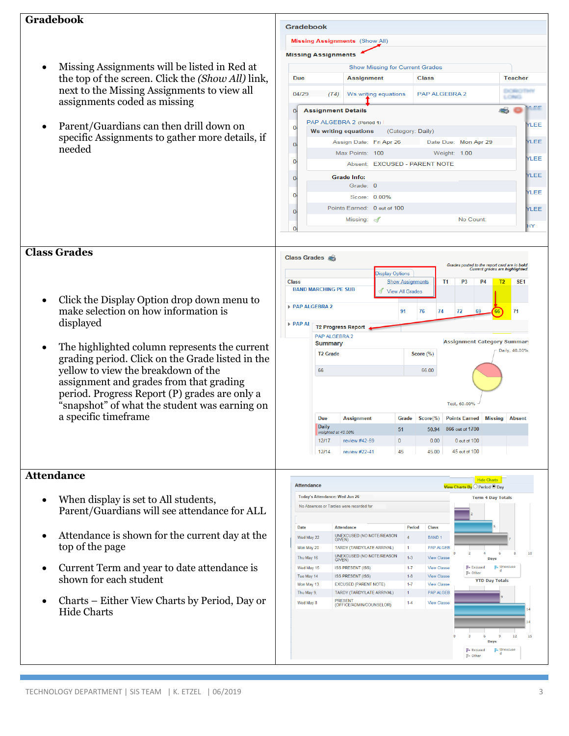## **Gradebook**

- Missing Assignments will be listed in Red at the top of the screen. Click the *(Show All)* link, next to the Missing Assignments to view all assignments coded as missing
- Parent/Guardians can then drill down on specific Assignments to gather more details, if needed



- Click the Display Option drop down menu to make selection on how information is displayed
- The highlighted column represents the current grading period. Click on the Grade listed in the yellow to view the breakdown of the assignment and grades from that grading period. Progress Report (P) grades are only a "snapshot" of what the student was earning on a specific timeframe



## **Attendance**

**Class Grades**

- When display is set to All students, Parent/Guardians will see attendance for ALL
- Attendance is shown for the current day at the top of the page
- Current Term and year to date attendance is shown for each student
- Charts Either View Charts by Period, Day or Hide Charts

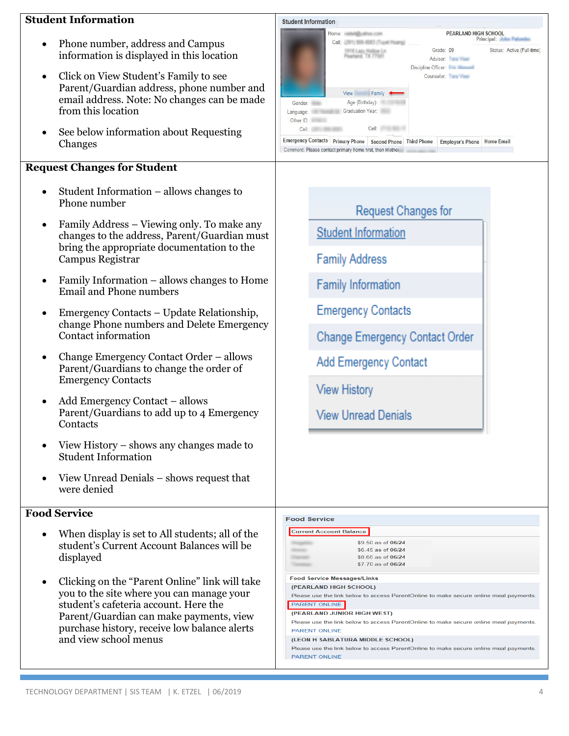## **Student Information**

- Phone number, address and Campus information is displayed in this location
- Click on View Student's Family to see Parent/Guardian address, phone number and email address. Note: No changes can be made from this location
- See below information about Requesting Changes

## **Request Changes for Student**

- Student Information allows changes to Phone number
- Family Address Viewing only. To make any changes to the address, Parent/Guardian must bring the appropriate documentation to the Campus Registrar
- Family Information allows changes to Home Email and Phone numbers
- Emergency Contacts Update Relationship, change Phone numbers and Delete Emergency Contact information
- Change Emergency Contact Order allows Parent/ Guardian s to change the order of Emergency Contacts
- Add Emergency Contact allows Parent/ Guardian s to add up to 4 Emergency **Contacts**
- View History shows any changes made to Student Information
- View Unread Denials shows request that were denied

## **Food Service**

- When display is set to All students; all of the student's Current Account Balances will be displayed
- Clicking on the "Parent Online" link will take you to the site where you can manage your student's cafeteria account. Here the Parent/Guardian can make payments, view purchase history, receive low balance alerts and view school menus



## **Request Changes for**

**Student Information** 

**Family Address** 

**Family Information** 

**Emergency Contacts** 

Change Emergency Contact Order

Add Emergency Contact

**View History** 

**View Unread Denials** 

#### **Food Service Current Account Balance** \$9.50 as of 06/24 \$6.45 as of 06/24 \$8.65 as of 06/24 \$7.70 as of 06/24 **Food Service Messages/Links** (PEARLAND HIGH SCHOOL) Please use the link below to access ParentOnline to make secure online meal payments PARENT ONLINE (PEARLAND JUNIOR HIGH WEST) Please use the link below to access ParentOnline to make secure online meal payments **PARENT ONLINE** (LEON H SABLATURA MIDDLE SCHOOL) Please use the link below to access ParentOnline to make secure online meal payments PARENT ONLINE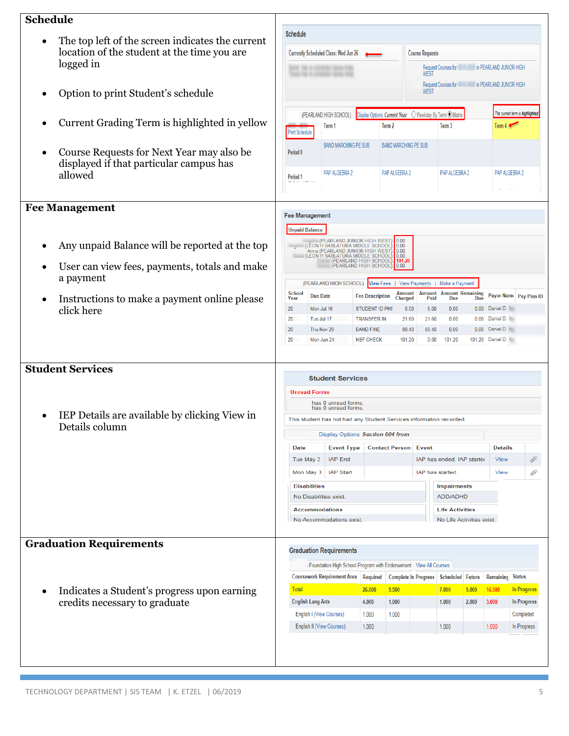| <b>Schedule</b>                                                                      |                                                                                                       |                                                                      |                                      |                                                                           |                                           |                                         |                        |                                             |                                                                      |
|--------------------------------------------------------------------------------------|-------------------------------------------------------------------------------------------------------|----------------------------------------------------------------------|--------------------------------------|---------------------------------------------------------------------------|-------------------------------------------|-----------------------------------------|------------------------|---------------------------------------------|----------------------------------------------------------------------|
| The top left of the screen indicates the current                                     | Schedule                                                                                              |                                                                      |                                      |                                                                           |                                           |                                         |                        |                                             |                                                                      |
| location of the student at the time you are                                          | Currently Scheduled Class: Wed Jun 26                                                                 | <b>Course Requests</b>                                               |                                      |                                                                           |                                           |                                         |                        |                                             |                                                                      |
| logged in                                                                            |                                                                                                       |                                                                      |                                      |                                                                           |                                           | Request Courses for                     |                        | <b>EXAMPLE AND SUNIOR HIGH</b>              |                                                                      |
|                                                                                      |                                                                                                       |                                                                      |                                      |                                                                           | <b>WEST</b>                               |                                         |                        | Request Courses for in PEARLAND JUNIOR HIGH |                                                                      |
| Option to print Student's schedule                                                   |                                                                                                       |                                                                      |                                      |                                                                           | <b>WEST</b>                               |                                         |                        |                                             |                                                                      |
|                                                                                      |                                                                                                       |                                                                      |                                      |                                                                           |                                           |                                         |                        |                                             | The current term is highlighted                                      |
| Current Grading Term is highlighted in yellow                                        | Display Options Current Year O Weekday By Term @ Matrix<br>(PEARLAND HIGH SCHOOL)<br>Term 2<br>Term 1 |                                                                      |                                      |                                                                           | Term 3                                    |                                         | Term $4 \triangleleft$ |                                             |                                                                      |
|                                                                                      | <b>Print Schedule</b>                                                                                 |                                                                      |                                      |                                                                           |                                           |                                         |                        |                                             |                                                                      |
| Course Requests for Next Year may also be<br>displayed if that particular campus has | Period <sub>0</sub>                                                                                   | <b>BAND MARCHING PE SUB</b>                                          |                                      | <b>BAND MARCHING PE SUB</b>                                               |                                           |                                         |                        |                                             |                                                                      |
| allowed                                                                              | Period 1                                                                                              | PAP ALGEBRA 2                                                        |                                      | PAP ALGEBRA 2                                                             |                                           | PAP ALGEBRA 2                           |                        | PAP ALGEBRA 2                               |                                                                      |
| <b>Fee Management</b>                                                                | <b>Fee Management</b>                                                                                 |                                                                      |                                      |                                                                           |                                           |                                         |                        |                                             |                                                                      |
|                                                                                      | <b>Unpaid Balance</b>                                                                                 |                                                                      |                                      |                                                                           |                                           |                                         |                        |                                             |                                                                      |
|                                                                                      |                                                                                                       | WASHIM (PEARLAND JUNIOR HIGH WEST                                    |                                      | $\begin{array}{ c c } \hline 0.00 & \\\hline 0.00 & \\\hline \end{array}$ |                                           |                                         |                        |                                             |                                                                      |
| Any unpaid Balance will be reported at the top                                       |                                                                                                       | Anna (PEARLAND JUNIOR HIGH WEST)<br>(LEON H SABLATURA MIDDLE SCHOOL) |                                      | 0.00<br>: 0.00                                                            |                                           |                                         |                        |                                             |                                                                      |
| User can view fees, payments, totals and make                                        |                                                                                                       | (PEARLAND HIGH SCHOOL): 101.20<br>(PEARLAND HIGH SCHOOL)             |                                      | : 0.00                                                                    |                                           |                                         |                        |                                             |                                                                      |
| a payment                                                                            |                                                                                                       | (PEARLAND HIGH SCHOOL) View Fees   View Payments                     |                                      |                                                                           |                                           | Make a Payment                          |                        |                                             |                                                                      |
|                                                                                      | <b>School</b><br><b>Due Date</b><br>Year                                                              |                                                                      | <b>Fee Description</b>               | <b>Amount</b><br>Charged                                                  |                                           | Amount Amount Remaining<br>Paid Due Due |                        | Payor Name Pay Plan ID                      |                                                                      |
|                                                                                      |                                                                                                       |                                                                      | <b>STUDENT ID PHS</b>                |                                                                           | 5.00<br>5.00                              | 0.00                                    |                        | 0.00 Daniel D.                              |                                                                      |
| Instructions to make a payment online please<br>click here                           | 20<br>Mon Jul 16                                                                                      |                                                                      |                                      |                                                                           |                                           |                                         |                        |                                             |                                                                      |
|                                                                                      | 20<br>Tue Jul 17                                                                                      |                                                                      | <b>TRANSFER IN</b>                   |                                                                           | 21.60<br>21.60                            | 0.00                                    | 0.00                   | Daniel D.                                   |                                                                      |
|                                                                                      | 20<br>20 <sup>1</sup>                                                                                 | Thu Nov 29<br>Mon Jun 24                                             | <b>BAND FINE</b><br><b>NSF CHECK</b> | 88.40<br>101.20                                                           | 88.40<br>0.00                             | 0.00<br>101.20                          |                        | 0.00 Daniel D.<br>101.20 Daniel D.          |                                                                      |
| <b>Student Services</b>                                                              |                                                                                                       |                                                                      |                                      |                                                                           |                                           |                                         |                        |                                             |                                                                      |
|                                                                                      |                                                                                                       | <b>Student Services</b>                                              |                                      |                                                                           |                                           |                                         |                        |                                             |                                                                      |
|                                                                                      | <b>Unread Forms</b>                                                                                   | has 0 unread forms.                                                  |                                      |                                                                           |                                           |                                         |                        |                                             |                                                                      |
| IEP Details are available by clicking View in                                        |                                                                                                       | has 0 unread forms.                                                  |                                      |                                                                           |                                           |                                         |                        |                                             |                                                                      |
| Details column                                                                       |                                                                                                       | This student has not had any Student Services information recorded.  |                                      |                                                                           |                                           |                                         |                        |                                             |                                                                      |
|                                                                                      | <b>Date</b>                                                                                           | Display Options Section 504 from<br><b>Event Type</b>                |                                      | <b>Contact Person</b>                                                     | <b>Event</b>                              |                                         |                        | <b>Details</b>                              |                                                                      |
|                                                                                      | Tue May 3                                                                                             | <b>IAP End</b>                                                       |                                      |                                                                           |                                           | IAP has ended. IAP started              |                        | <b>View</b>                                 | I                                                                    |
|                                                                                      | Mon May 3                                                                                             | <b>IAP Start</b>                                                     |                                      |                                                                           |                                           | IAP has started.                        |                        | <b>View</b>                                 |                                                                      |
|                                                                                      | <b>Disabilities</b>                                                                                   |                                                                      |                                      |                                                                           |                                           | <b>Impairments</b>                      |                        |                                             | O                                                                    |
|                                                                                      | No Disabilities exist.                                                                                |                                                                      |                                      |                                                                           |                                           | ADD/ADHD                                |                        |                                             |                                                                      |
|                                                                                      | <b>Accommodations</b>                                                                                 |                                                                      |                                      |                                                                           |                                           | <b>Life Activities</b>                  |                        |                                             |                                                                      |
|                                                                                      |                                                                                                       | No Accommodations exist.                                             |                                      |                                                                           |                                           | No Life Activities exist.               |                        |                                             |                                                                      |
| <b>Graduation Requirements</b>                                                       |                                                                                                       | <b>Graduation Requirements</b>                                       |                                      |                                                                           |                                           |                                         |                        |                                             |                                                                      |
|                                                                                      |                                                                                                       | - Foundation High School Program with Endorsement View All Courses   |                                      |                                                                           |                                           |                                         |                        |                                             |                                                                      |
|                                                                                      |                                                                                                       | <b>Coursework Requirement Area   Required</b>                        |                                      |                                                                           | Complete In Progress   Scheduled   Future |                                         |                        | <b>Remaining Status</b>                     |                                                                      |
| Indicates a Student's progress upon earning                                          | <b>Total</b>                                                                                          |                                                                      | 26.000                               | 9.500                                                                     |                                           | 7.000                                   | 9.000                  | 16.500                                      |                                                                      |
| credits necessary to graduate                                                        | <b>English Lang Arts</b>                                                                              |                                                                      | 4.000                                | 1.000                                                                     |                                           | 1.000                                   | 2.000                  | 3.000                                       |                                                                      |
|                                                                                      | <b>English I (View Courses)</b><br>English II (View Courses)                                          |                                                                      | 1.000<br>1.000                       | 1.000                                                                     |                                           | 1.000                                   |                        | 1.000                                       | <b>In Progress</b><br><b>In Progress</b><br>Completed<br>In Progress |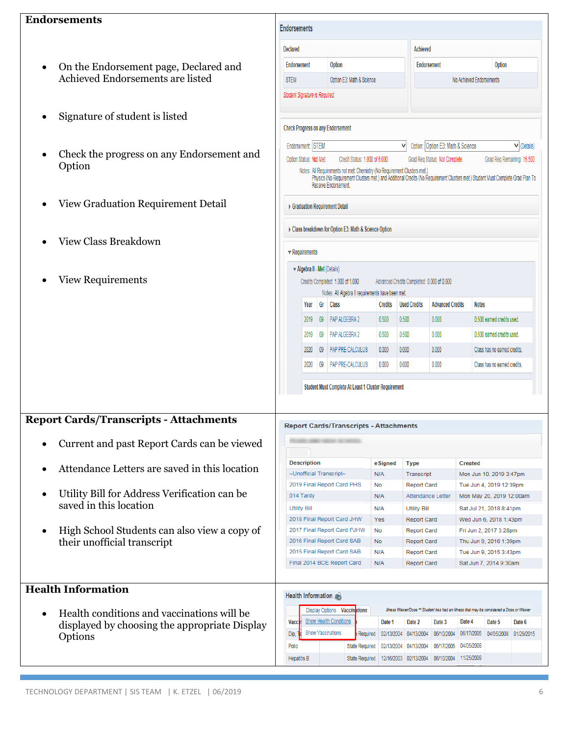## **Endorsements**

- On the Endorsement page, Declared and Achieved Endorsements are listed
- Signature of student is listed
- Check the progress on any Endorsement and Option
- View Graduation Requirement Detail
- View Class Breakdown
- View Requirements

| uorsements                                                       | <b>Endorsements</b>                                                                                                                                                                                                                        |                                                  |                                                                                        |                |                                            |                                   |                              |  |
|------------------------------------------------------------------|--------------------------------------------------------------------------------------------------------------------------------------------------------------------------------------------------------------------------------------------|--------------------------------------------------|----------------------------------------------------------------------------------------|----------------|--------------------------------------------|-----------------------------------|------------------------------|--|
|                                                                  | <b>Declared</b>                                                                                                                                                                                                                            |                                                  |                                                                                        |                | <b>Achieved</b>                            |                                   |                              |  |
| On the Endorsement page, Declared and<br>$\bullet$               | <b>Endorsement</b>                                                                                                                                                                                                                         |                                                  | Option                                                                                 |                |                                            | <b>Endorsement</b>                | Option                       |  |
| Achieved Endorsements are listed                                 | <b>STEM</b>                                                                                                                                                                                                                                | Option E3: Math & Science                        |                                                                                        |                |                                            | No Achieved Endorsements          |                              |  |
|                                                                  | Student Signature is Required.                                                                                                                                                                                                             |                                                  |                                                                                        |                |                                            |                                   |                              |  |
| Signature of student is listed<br>$\bullet$                      |                                                                                                                                                                                                                                            |                                                  | <b>Check Progress on any Endorsement</b>                                               |                |                                            |                                   |                              |  |
|                                                                  |                                                                                                                                                                                                                                            | Endorsement STEM                                 |                                                                                        |                | V                                          | Option: Option E3: Math & Science | $\vee$ (Details)             |  |
| Check the progress on any Endorsement and<br>$\bullet$<br>Option |                                                                                                                                                                                                                                            | Option Status: Not Met                           | Credit Status: 1,000 of 6,000                                                          |                |                                            | Grad Reg Status: Not Complete     | Grad Reg Remaining: 16.500   |  |
|                                                                  | Notes: All Requirements not met: Chemistry (No Requirement Clusters met.)<br>Physics (No Requirement Clusters met.) and Additional Credits (No Requirement Clusters met.) Student Must Complete Grad Plan To<br><b>Receive Endorsement</b> |                                                  |                                                                                        |                |                                            |                                   |                              |  |
| View Graduation Requirement Detail<br>$\bullet$                  |                                                                                                                                                                                                                                            |                                                  | Graduation Requirement Detail                                                          |                |                                            |                                   |                              |  |
| <b>View Class Breakdown</b><br>$\bullet$                         |                                                                                                                                                                                                                                            |                                                  | Class breakdown for Option E3: Math & Science Option                                   |                |                                            |                                   |                              |  |
|                                                                  | $\blacktriangledown$ Requirements                                                                                                                                                                                                          |                                                  |                                                                                        |                |                                            |                                   |                              |  |
|                                                                  |                                                                                                                                                                                                                                            | $\blacktriangleright$ Algebra II - Met (Details) |                                                                                        |                |                                            |                                   |                              |  |
| <b>View Requirements</b><br>$\bullet$                            |                                                                                                                                                                                                                                            |                                                  | Credits Completed: 1.000 of 1.000<br>Notes: All Algebra II requirements have been met. |                | Advanced Credits Completed: 0.000 of 0.000 |                                   |                              |  |
|                                                                  |                                                                                                                                                                                                                                            | Year                                             | Gr Class                                                                               | <b>Credits</b> | <b>Used Credits</b>                        | <b>Advanced Credits</b>           | <b>Notes</b>                 |  |
|                                                                  |                                                                                                                                                                                                                                            | 2019                                             | 09 PAP ALGEBRA 2                                                                       | 0.500          | 0.500                                      | 0.000                             | 0.500 earned credits used.   |  |
|                                                                  |                                                                                                                                                                                                                                            | $\sqrt{0.9}$<br>2019                             | <b>PAP ALGEBRA 2</b>                                                                   | 0.500          | 0.500                                      | 0.000                             | 0.500 earned credits used.   |  |
|                                                                  |                                                                                                                                                                                                                                            | 2020                                             | 09 PAP PRE-CALCULUS                                                                    | 0.000          | 0.000                                      | 0.000                             | Class has no earned credits. |  |
|                                                                  |                                                                                                                                                                                                                                            | 2020                                             | 09   PAP PRE-CALCULUS                                                                  | 0.000          | 0.000                                      | 0.000                             | Class has no earned credits. |  |
|                                                                  |                                                                                                                                                                                                                                            |                                                  | Student Must Complete At Least 1 Cluster Requirement                                   |                |                                            |                                   |                              |  |
| port Cards/Transcripts - Attachments                             |                                                                                                                                                                                                                                            |                                                  |                                                                                        |                |                                            |                                   |                              |  |
| Current and past Report Cards can be viewed                      |                                                                                                                                                                                                                                            |                                                  | <b>Report Cards/Transcripts - Attachments</b>                                          |                |                                            |                                   |                              |  |
|                                                                  |                                                                                                                                                                                                                                            | <b>Description</b>                               |                                                                                        | eSigned        | <b>Type</b>                                |                                   | <b>Created</b>               |  |
| Attendance Letters are saved in this location<br>$\bullet$       |                                                                                                                                                                                                                                            |                                                  | ~Unofficial Transcript~                                                                | N/A            | Transcript                                 |                                   | Mon Jun 10, 2019 3:47pm      |  |
| Utility Bill for Address Verification can be                     |                                                                                                                                                                                                                                            |                                                  | 2019 Final Report Card PHS                                                             | No             | <b>Report Card</b>                         |                                   | Tue Jun 4, 2019 12:39pm      |  |
|                                                                  | 014 Tardy                                                                                                                                                                                                                                  |                                                  |                                                                                        | N/A            |                                            | Attendance Letter                 | Mon May 20, 2019 12:00am     |  |

 Utility Bill for Address Verification can be saved in this location

**Report Cards/Transcripts - Attachments**

 High School Students can also view a copy of their unofficial transcript

#### **Utility Bill**  $N/A$ **Utility Bill** Sat Jul 21, 2018 8:41pm 2018 Final Report Card JHW Wed Jun 6, 2018 1:43pm Yes Report Card 2017 Final Report Card PJHW **No** Report Card Fri Jun 2, 2017 3:28pm 2016 Final Report Card SAB **No** Report Card Thu Jun 9, 2016 1:39pm 2015 Final Report Card SAB  $N/A$ Report Card Tue Jun 9, 2015 3:43pm Final 2014 BCE Report Card  $N/A$ Report Card Sat Jun 7, 2014 9:30am

Health Information

## **Health Information**

 Health conditions and vaccinations will be displayed by choosing the appropriate Display Options

| <b>Display Options</b>                 | <b>Vaccinations</b>   |            |            |            | Illness Waiver/Dose ** Student has had an illness that may be considered a Dose or Waiver |            |            |
|----------------------------------------|-----------------------|------------|------------|------------|-------------------------------------------------------------------------------------------|------------|------------|
| <b>Show Health Conditions</b><br>Vacci |                       | Date 1     | Date 2     | Date 3     | Date 4                                                                                    | Date 5     | Date 6     |
| <b>Show Vaccinations</b><br>Dip.<br>и  | Required              | 02/13/2004 | 04/13/2004 | 06/10/2004 | 06/17/2005                                                                                | 04/05/2008 | 01/29/2015 |
| Polio                                  | <b>State Required</b> | 02/13/2004 | 04/13/2004 | 06/17/2005 | 04/05/2008                                                                                |            |            |
| <b>Hepatitis B</b>                     | <b>State Required</b> | 12/16/2003 | 02/13/2004 | 06/10/2004 | 11/25/2009                                                                                |            |            |